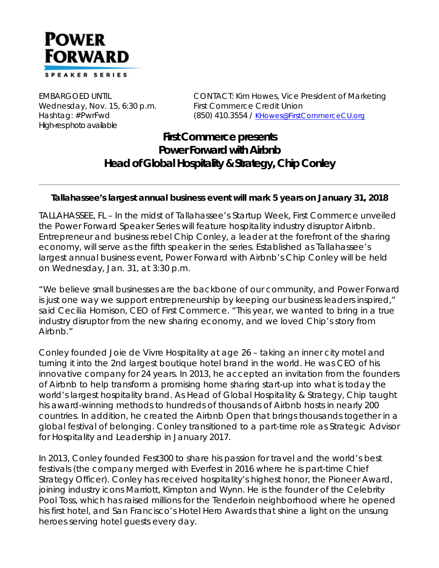

Wednesday, Nov. 15, 6:30 p.m. First Commerce Credit Union *High-res photo available*

EMBARGOED UNTIL CONTACT: Kim Howes, Vice President of Marketing Hashtag: #PwrFwd (850) 410.3554 / KHowes@FirstCommerceCU.org

## **First Commerce presents Power Forward with Airbnb Head of Global Hospitality & Strategy, Chip Conley**

## *Tallahassee's largest annual business event will mark 5 years on January 31, 2018*

TALLAHASSEE, FL – In the midst of Tallahassee's Startup Week, First Commerce unveiled the Power Forward Speaker Series will feature hospitality industry disruptor Airbnb. Entrepreneur and business rebel Chip Conley, a leader at the forefront of the sharing economy, will serve as the fifth speaker in the series. Established as Tallahassee's largest annual business event, Power Forward with Airbnb's Chip Conley will be held on Wednesday, Jan. 31, at 3:30 p.m.

"We believe small businesses are the backbone of our community, and Power Forward is just one way we support entrepreneurship by keeping our business leaders inspired," said Cecilia Homison, CEO of First Commerce. "This year, we wanted to bring in a true industry disruptor from the new sharing economy, and we loved Chip's story from Airbnb."

Conley founded Joie de Vivre Hospitality at age 26 – taking an inner city motel and turning it into the 2nd largest boutique hotel brand in the world. He was CEO of his innovative company for 24 years. In 2013, he accepted an invitation from the founders of Airbnb to help transform a promising home sharing start-up into what is today the world's largest hospitality brand. As Head of Global Hospitality & Strategy, Chip taught his award-winning methods to hundreds of thousands of Airbnb hosts in nearly 200 countries. In addition, he created the Airbnb Open that brings thousands together in a global festival of belonging. Conley transitioned to a part-time role as Strategic Advisor for Hospitality and Leadership in January 2017.

In 2013, Conley founded Fest300 to share his passion for travel and the world's best festivals (the company merged with Everfest in 2016 where he is part-time Chief Strategy Officer). Conley has received hospitality's highest honor, the Pioneer Award, joining industry icons Marriott, Kimpton and Wynn. He is the founder of the Celebrity Pool Toss, which has raised millions for the Tenderloin neighborhood where he opened his first hotel, and San Francisco's Hotel Hero Awards that shine a light on the unsung heroes serving hotel guests every day.